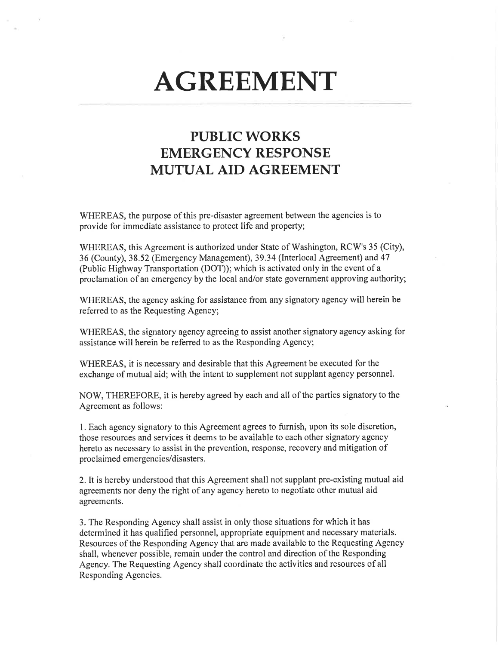## AGREEMENT

## PUBLIC WORKS EMERGENCY RESPONSE MUTUAL AID AGREEMENT

WHEREAS, the purpose of this pre-disaster agreement between the agencies is to provide for immediate assistance to protect life and property;

WHEREAS, this Agreement is authorized under State of Washington, RCW's 35 (City), 36 (County) ,38.52 (Emergency Management),39.34 (Interlocal Agreement) and 47 (Public Highway Transportation (DOT)); which is activated only in the event of a proclamation of an emergency by the local and/or state government approving authority;

WHEREAS, the agency asking for assistance from any signatory agency will herein be referred to as the Requesting Agency;

WHEREAS, the signatory agency agreeing to assist another signatory agency asking for assistance will herein be referred to as the Responding Agency;

WHEREAS, it is necessary and desirable that this Agreement be executed for the exchange of mutual aid; with the intent to supplement not supplant agency personnel.

NOW, THEREFORE, it is hereby agreed by each and all of the parties signatory to the Agreement as follows:

1. Each agency signatory to this Agreement agrees to furnish, upon its sole discretion, those resources and services it deems to be available to each other signatory agency hereto as necessary to assist in the prevention, response, recovery and mitigation of proclaimed emergencies/disasters.

2. It is hereby understood that this Agreement shall not supplant pre-existing mutual aid agreements nor deny the right of any agency hereto to negotiate other mutual aid agreements.

3. The Responding Agency shall assist in only those situations for which it has determined it has qualified personnel, appropriate equipment and necessary materials. Resources of the Responding Agency that are made available to the Requesting Agency shall, whenever possible, remain under the control and direction of the Responding Agency. The Requesting Agency shall coordinate the activities and resources of all Responding Agencies.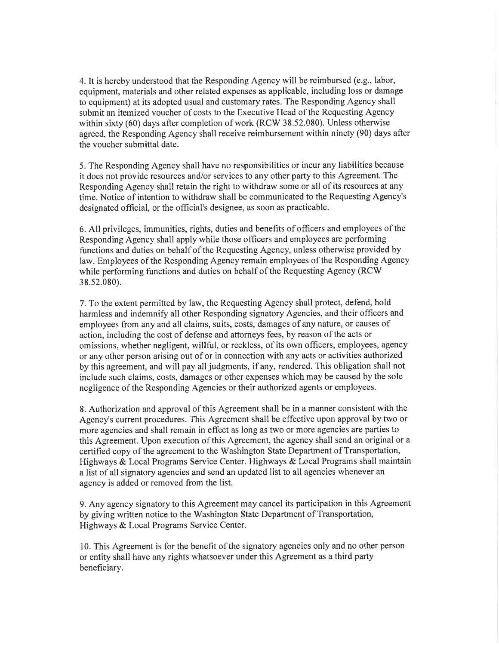4. It is hereby understood that the Responding Agency will be reimbursed (e.g., labor, equipment, materials and other related expenses as applicable, including loss or damage to equipment) at its adopted usual and customary rates. The Responding Agency shall submit an itemized voucher of costs to the Executive Head of the Requesting Agency within sixty (60) days after completion of work (RCW 38.52.080). Unless otherwise agreed, the Responding Agency shall receive reimbursement within ninety (90) days after the voucher submittal date.

5. The Responding Agency shall have no responsibilities or incur any liabilities because it does not provide resources and/or services to any other party to this Agreement. The Responding Agency shall retain the right to withdraw some or all of its resources at any time. Notice of intention to withdraw shall be communicated to the Requesting Agency's designated official, or the official's designee, as soon as practicable.

6. All privileges, immunities, rights, duties and benefits of officers and employees of the Responding Agency shall apply while those officers and employees are performing functions and duties on behalf of the Requesting Agency, unless otherwise provided by law. Employees of the Responding Agency remain employees of the Responding Agency while performing functions and duties on behalf of the Requesting Agency (RCW <sup>3</sup>8.s2.080).

7. To the extent permitted by law, the Requesting Agency shall protect, defend, hold harmless and indemnify all other Responding signatory Agencies, and their officers and employees from any and all claims, suits, costs, damages of any nature, or causes of action, including the cost of defense and attorneys fees, by reason of the acts or omissions, whether negligent, willful, or reckless, of its own officers, employees, agency or any other person arising out of or in connection with any acts or activities authorized by this agreement, and will pay all judgments, if any, rendered. This obligation shall not include such claims, costs, damages or other expenses which may be caused by the sole negligence of the Responding Agencies or their authorized agents or employees.

8. Authorization and approval of this Agreement shall be in a manner consistent with the Agency's current procedures. This Agreement shall be effective upon approval by two or more agencies and shall remain in effect as long as two or more agencies are parties to this Agreement. Upon execution of this Agreement, the agency shall send an original or a certified copy of the agreement to the Washington State Department of Transportation, Highways & Local Programs Service Center. Highways & Local Programs shall maintain a list of all signatory agencies and send an updated list to all agencies whenever an agency is added or removed from the list.

9. Any agency signatory to this Agreement may cancel its participation in this Agreement by giving written notice to the Washington State Department of Transportation, Highways & Local Programs Service Center.

10. This Agreement is for the benefit of the signatory agencies only and no other person or entity shall have any rights whatsoever under this Agreement as a third party beneficiary.